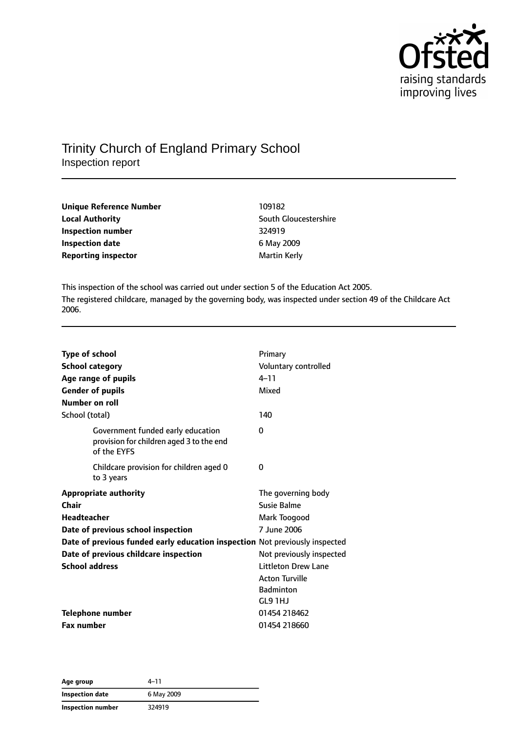

# Trinity Church of England Primary School

Inspection report

| Unique Reference Number    | 109182                |
|----------------------------|-----------------------|
| <b>Local Authority</b>     | South Gloucestershire |
| Inspection number          | 324919                |
| <b>Inspection date</b>     | 6 May 2009            |
| <b>Reporting inspector</b> | Martin Kerly          |

This inspection of the school was carried out under section 5 of the Education Act 2005. The registered childcare, managed by the governing body, was inspected under section 49 of the Childcare Act 2006.

| <b>Type of school</b>   |                                                                                              | Primary                    |
|-------------------------|----------------------------------------------------------------------------------------------|----------------------------|
| <b>School category</b>  |                                                                                              | Voluntary controlled       |
|                         | Age range of pupils                                                                          | $4 - 11$                   |
| <b>Gender of pupils</b> |                                                                                              | Mixed                      |
| <b>Number on roll</b>   |                                                                                              |                            |
| School (total)          |                                                                                              | 140                        |
|                         | Government funded early education<br>provision for children aged 3 to the end<br>of the EYFS | 0                          |
|                         | Childcare provision for children aged 0<br>to 3 years                                        | 0                          |
|                         | <b>Appropriate authority</b>                                                                 | The governing body         |
| Chair                   |                                                                                              | Susie Balme                |
| <b>Headteacher</b>      |                                                                                              | Mark Toogood               |
|                         | Date of previous school inspection                                                           | 7 June 2006                |
|                         | Date of previous funded early education inspection Not previously inspected                  |                            |
|                         | Date of previous childcare inspection                                                        | Not previously inspected   |
| <b>School address</b>   |                                                                                              | <b>Littleton Drew Lane</b> |
|                         |                                                                                              | <b>Acton Turville</b>      |
|                         |                                                                                              | <b>Badminton</b>           |
|                         |                                                                                              | GL9 1HJ                    |
|                         | Telephone number                                                                             | 01454 218462               |
| <b>Fax number</b>       |                                                                                              | 01454 218660               |

| Age group         | $4 - 11$   |
|-------------------|------------|
| Inspection date   | 6 May 2009 |
| Inspection number | 324919     |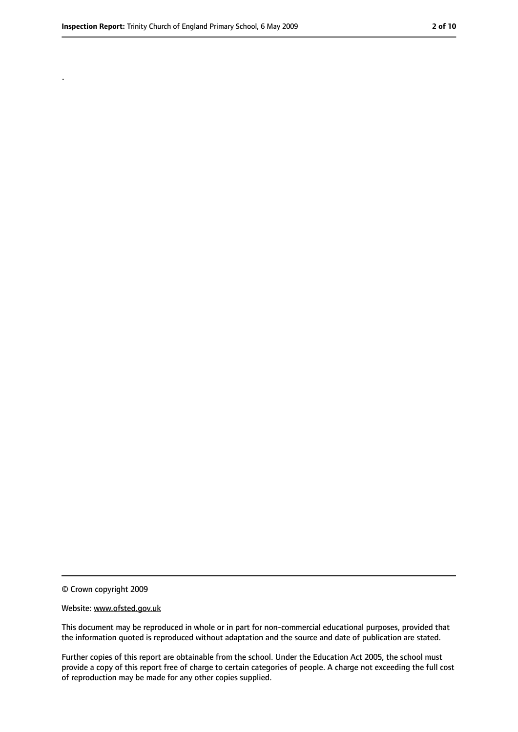.

<sup>©</sup> Crown copyright 2009

Website: www.ofsted.gov.uk

This document may be reproduced in whole or in part for non-commercial educational purposes, provided that the information quoted is reproduced without adaptation and the source and date of publication are stated.

Further copies of this report are obtainable from the school. Under the Education Act 2005, the school must provide a copy of this report free of charge to certain categories of people. A charge not exceeding the full cost of reproduction may be made for any other copies supplied.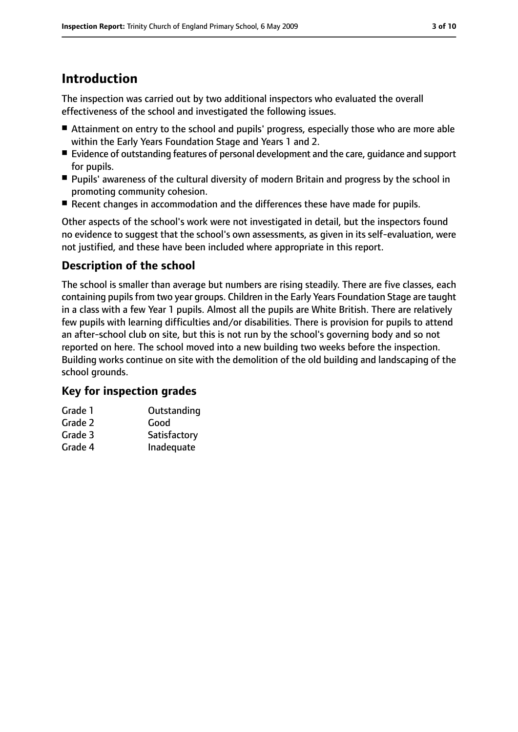# **Introduction**

The inspection was carried out by two additional inspectors who evaluated the overall effectiveness of the school and investigated the following issues.

- Attainment on entry to the school and pupils' progress, especially those who are more able within the Early Years Foundation Stage and Years 1 and 2.
- Evidence of outstanding features of personal development and the care, guidance and support for pupils.
- Pupils' awareness of the cultural diversity of modern Britain and progress by the school in promoting community cohesion.
- Recent changes in accommodation and the differences these have made for pupils.

Other aspects of the school's work were not investigated in detail, but the inspectors found no evidence to suggest that the school's own assessments, as given in its self-evaluation, were not justified, and these have been included where appropriate in this report.

# **Description of the school**

The school is smaller than average but numbers are rising steadily. There are five classes, each containing pupils from two year groups. Children in the Early Years Foundation Stage are taught in a class with a few Year 1 pupils. Almost all the pupils are White British. There are relatively few pupils with learning difficulties and/or disabilities. There is provision for pupils to attend an after-school club on site, but this is not run by the school's governing body and so not reported on here. The school moved into a new building two weeks before the inspection. Building works continue on site with the demolition of the old building and landscaping of the school grounds.

### **Key for inspection grades**

| Grade 1 | Outstanding  |
|---------|--------------|
| Grade 2 | Good         |
| Grade 3 | Satisfactory |
| Grade 4 | Inadequate   |
|         |              |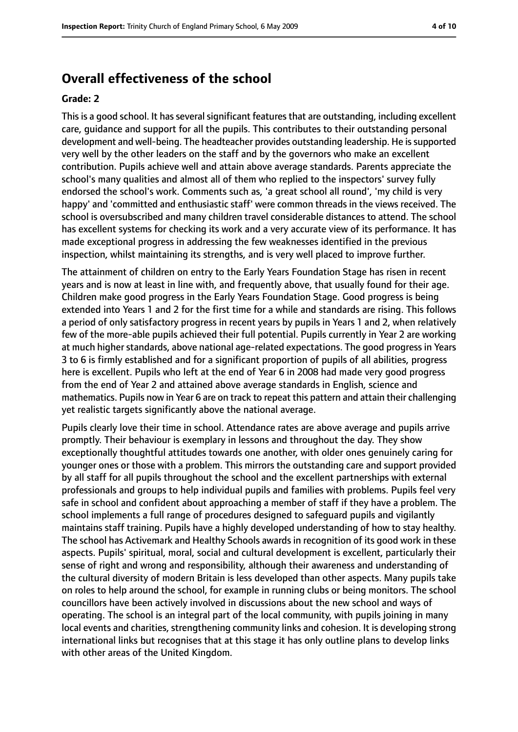# **Overall effectiveness of the school**

#### **Grade: 2**

This is a good school. It has several significant features that are outstanding, including excellent care, guidance and support for all the pupils. This contributes to their outstanding personal development and well-being. The headteacher provides outstanding leadership. He issupported very well by the other leaders on the staff and by the governors who make an excellent contribution. Pupils achieve well and attain above average standards. Parents appreciate the school's many qualities and almost all of them who replied to the inspectors' survey fully endorsed the school's work. Comments such as, 'a great school all round', 'my child is very happy' and 'committed and enthusiastic staff' were common threads in the views received. The school is oversubscribed and many children travel considerable distances to attend. The school has excellent systems for checking its work and a very accurate view of its performance. It has made exceptional progress in addressing the few weaknesses identified in the previous inspection, whilst maintaining its strengths, and is very well placed to improve further.

The attainment of children on entry to the Early Years Foundation Stage has risen in recent years and is now at least in line with, and frequently above, that usually found for their age. Children make good progress in the Early Years Foundation Stage. Good progress is being extended into Years 1 and 2 for the first time for a while and standards are rising. This follows a period of only satisfactory progress in recent years by pupils in Years 1 and 2, when relatively few of the more-able pupils achieved their full potential. Pupils currently in Year 2 are working at much higher standards, above national age-related expectations. The good progress in Years 3 to 6 is firmly established and for a significant proportion of pupils of all abilities, progress here is excellent. Pupils who left at the end of Year 6 in 2008 had made very good progress from the end of Year 2 and attained above average standards in English, science and mathematics. Pupils now in Year 6 are on track to repeat this pattern and attain their challenging yet realistic targets significantly above the national average.

Pupils clearly love their time in school. Attendance rates are above average and pupils arrive promptly. Their behaviour is exemplary in lessons and throughout the day. They show exceptionally thoughtful attitudes towards one another, with older ones genuinely caring for younger ones or those with a problem. This mirrors the outstanding care and support provided by all staff for all pupils throughout the school and the excellent partnerships with external professionals and groups to help individual pupils and families with problems. Pupils feel very safe in school and confident about approaching a member of staff if they have a problem. The school implements a full range of procedures designed to safeguard pupils and vigilantly maintains staff training. Pupils have a highly developed understanding of how to stay healthy. The school has Activemark and Healthy Schools awards in recognition of its good work in these aspects. Pupils' spiritual, moral, social and cultural development is excellent, particularly their sense of right and wrong and responsibility, although their awareness and understanding of the cultural diversity of modern Britain is less developed than other aspects. Many pupils take on roles to help around the school, for example in running clubs or being monitors. The school councillors have been actively involved in discussions about the new school and ways of operating. The school is an integral part of the local community, with pupils joining in many local events and charities, strengthening community links and cohesion. It is developing strong international links but recognises that at this stage it has only outline plans to develop links with other areas of the United Kingdom.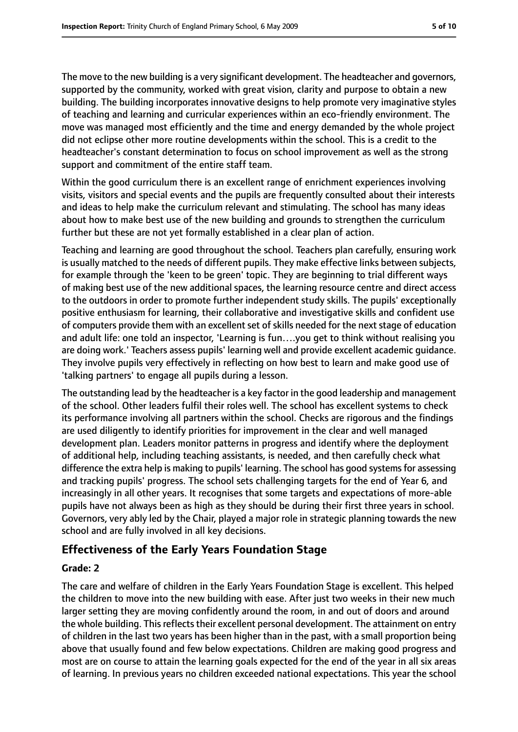The move to the new building is a very significant development. The headteacher and governors, supported by the community, worked with great vision, clarity and purpose to obtain a new building. The building incorporates innovative designs to help promote very imaginative styles of teaching and learning and curricular experiences within an eco-friendly environment. The move was managed most efficiently and the time and energy demanded by the whole project did not eclipse other more routine developments within the school. This is a credit to the headteacher's constant determination to focus on school improvement as well as the strong support and commitment of the entire staff team.

Within the good curriculum there is an excellent range of enrichment experiences involving visits, visitors and special events and the pupils are frequently consulted about their interests and ideas to help make the curriculum relevant and stimulating. The school has many ideas about how to make best use of the new building and grounds to strengthen the curriculum further but these are not yet formally established in a clear plan of action.

Teaching and learning are good throughout the school. Teachers plan carefully, ensuring work is usually matched to the needs of different pupils. They make effective links between subjects, for example through the 'keen to be green' topic. They are beginning to trial different ways of making best use of the new additional spaces, the learning resource centre and direct access to the outdoors in order to promote further independent study skills. The pupils' exceptionally positive enthusiasm for learning, their collaborative and investigative skills and confident use of computers provide them with an excellent set of skills needed for the next stage of education and adult life: one told an inspector, 'Learning is fun….you get to think without realising you are doing work.' Teachers assess pupils' learning well and provide excellent academic guidance. They involve pupils very effectively in reflecting on how best to learn and make good use of 'talking partners' to engage all pupils during a lesson.

The outstanding lead by the headteacher is a key factor in the good leadership and management of the school. Other leaders fulfil their roles well. The school has excellent systems to check its performance involving all partners within the school. Checks are rigorous and the findings are used diligently to identify priorities for improvement in the clear and well managed development plan. Leaders monitor patterns in progress and identify where the deployment of additional help, including teaching assistants, is needed, and then carefully check what difference the extra help is making to pupils' learning. The school has good systems for assessing and tracking pupils' progress. The school sets challenging targets for the end of Year 6, and increasingly in all other years. It recognises that some targets and expectations of more-able pupils have not always been as high as they should be during their first three years in school. Governors, very ably led by the Chair, played a major role in strategic planning towards the new school and are fully involved in all key decisions.

# **Effectiveness of the Early Years Foundation Stage**

#### **Grade: 2**

The care and welfare of children in the Early Years Foundation Stage is excellent. This helped the children to move into the new building with ease. After just two weeks in their new much larger setting they are moving confidently around the room, in and out of doors and around the whole building. This reflects their excellent personal development. The attainment on entry of children in the last two years has been higher than in the past, with a small proportion being above that usually found and few below expectations. Children are making good progress and most are on course to attain the learning goals expected for the end of the year in all six areas of learning. In previous years no children exceeded national expectations. This year the school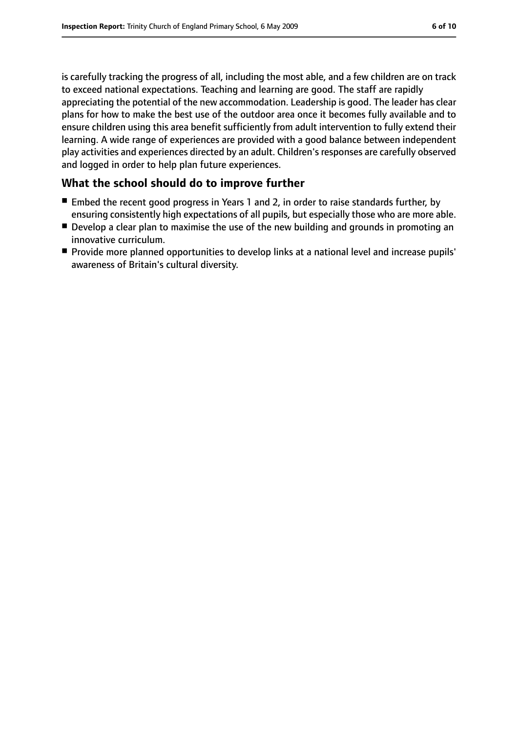is carefully tracking the progress of all, including the most able, and a few children are on track to exceed national expectations. Teaching and learning are good. The staff are rapidly appreciating the potential of the new accommodation. Leadership is good. The leader has clear plans for how to make the best use of the outdoor area once it becomes fully available and to ensure children using this area benefit sufficiently from adult intervention to fully extend their learning. A wide range of experiences are provided with a good balance between independent play activities and experiences directed by an adult. Children's responses are carefully observed and logged in order to help plan future experiences.

### **What the school should do to improve further**

- Embed the recent good progress in Years 1 and 2, in order to raise standards further, by ensuring consistently high expectations of all pupils, but especially those who are more able.
- Develop a clear plan to maximise the use of the new building and grounds in promoting an innovative curriculum.
- Provide more planned opportunities to develop links at a national level and increase pupils' awareness of Britain's cultural diversity.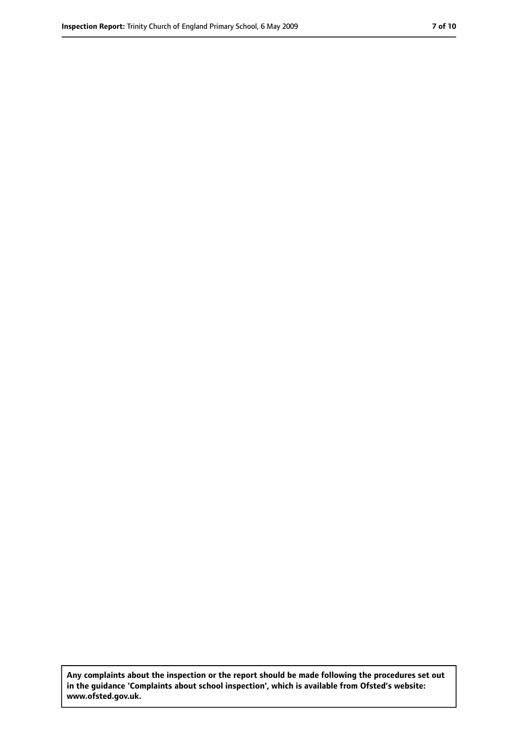**Any complaints about the inspection or the report should be made following the procedures set out in the guidance 'Complaints about school inspection', which is available from Ofsted's website: www.ofsted.gov.uk.**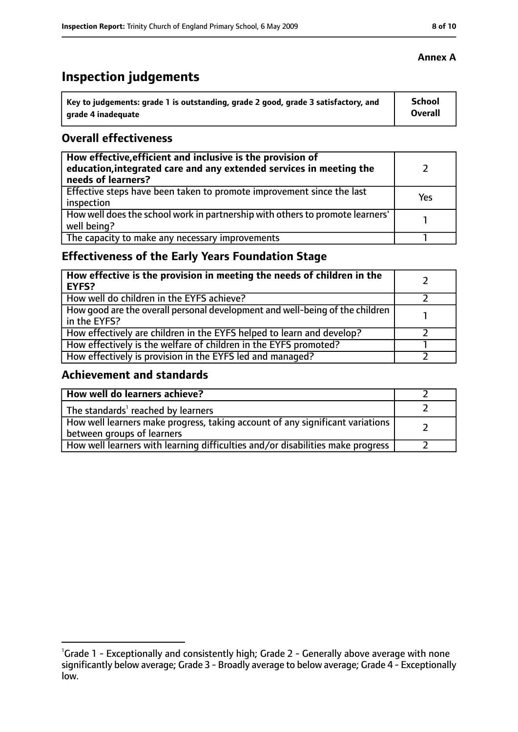# **Inspection judgements**

| Key to judgements: grade 1 is outstanding, grade 2 good, grade 3 satisfactory, and | <b>School</b> |
|------------------------------------------------------------------------------------|---------------|
| arade 4 inadequate                                                                 | Overall       |

### **Overall effectiveness**

| How effective, efficient and inclusive is the provision of<br>education, integrated care and any extended services in meeting the<br>needs of learners? |     |
|---------------------------------------------------------------------------------------------------------------------------------------------------------|-----|
| Effective steps have been taken to promote improvement since the last<br>inspection                                                                     | Yes |
| How well does the school work in partnership with others to promote learners'<br>well being?                                                            |     |
| The capacity to make any necessary improvements                                                                                                         |     |

# **Effectiveness of the Early Years Foundation Stage**

| How effective is the provision in meeting the needs of children in the<br><b>EYFS?</b>       |  |
|----------------------------------------------------------------------------------------------|--|
| How well do children in the EYFS achieve?                                                    |  |
| How good are the overall personal development and well-being of the children<br>in the EYFS? |  |
| How effectively are children in the EYFS helped to learn and develop?                        |  |
| How effectively is the welfare of children in the EYFS promoted?                             |  |
| How effectively is provision in the EYFS led and managed?                                    |  |

# **Achievement and standards**

| How well do learners achieve?                                                                               |  |
|-------------------------------------------------------------------------------------------------------------|--|
| The standards <sup>1</sup> reached by learners                                                              |  |
| How well learners make progress, taking account of any significant variations<br>between groups of learners |  |
| How well learners with learning difficulties and/or disabilities make progress                              |  |

<sup>&</sup>lt;sup>1</sup>Grade 1 - Exceptionally and consistently high; Grade 2 - Generally above average with none significantly below average; Grade 3 - Broadly average to below average; Grade 4 - Exceptionally low.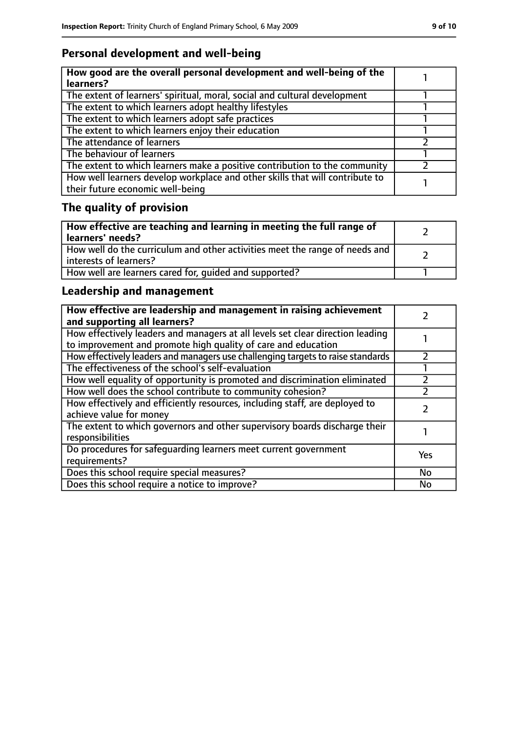# **Personal development and well-being**

| How good are the overall personal development and well-being of the<br>learners?                                 |  |
|------------------------------------------------------------------------------------------------------------------|--|
| The extent of learners' spiritual, moral, social and cultural development                                        |  |
| The extent to which learners adopt healthy lifestyles                                                            |  |
| The extent to which learners adopt safe practices                                                                |  |
| The extent to which learners enjoy their education                                                               |  |
| The attendance of learners                                                                                       |  |
| The behaviour of learners                                                                                        |  |
| The extent to which learners make a positive contribution to the community                                       |  |
| How well learners develop workplace and other skills that will contribute to<br>their future economic well-being |  |

# **The quality of provision**

| How effective are teaching and learning in meeting the full range of<br>learners' needs?              |  |
|-------------------------------------------------------------------------------------------------------|--|
| How well do the curriculum and other activities meet the range of needs and<br>interests of learners? |  |
| How well are learners cared for, quided and supported?                                                |  |

# **Leadership and management**

| How effective are leadership and management in raising achievement<br>and supporting all learners?                                              |     |
|-------------------------------------------------------------------------------------------------------------------------------------------------|-----|
| How effectively leaders and managers at all levels set clear direction leading<br>to improvement and promote high quality of care and education |     |
| How effectively leaders and managers use challenging targets to raise standards                                                                 |     |
| The effectiveness of the school's self-evaluation                                                                                               |     |
| How well equality of opportunity is promoted and discrimination eliminated                                                                      |     |
| How well does the school contribute to community cohesion?                                                                                      |     |
| How effectively and efficiently resources, including staff, are deployed to<br>achieve value for money                                          |     |
| The extent to which governors and other supervisory boards discharge their<br>responsibilities                                                  |     |
| Do procedures for safequarding learners meet current government<br>requirements?                                                                | Yes |
| Does this school require special measures?                                                                                                      | No  |
| Does this school require a notice to improve?                                                                                                   | No  |